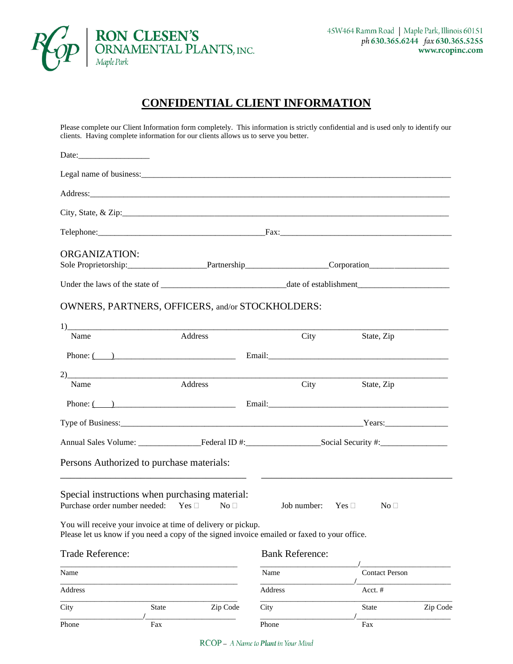

## **CONFIDENTIAL CLIENT INFORMATION**

Please complete our Client Information form completely. This information is strictly confidential and is used only to identify our clients. Having complete information for our clients allows us to serve you better.

| <b>ORGANIZATION:</b>                                                                                                                                         |          |                           |                       |          |
|--------------------------------------------------------------------------------------------------------------------------------------------------------------|----------|---------------------------|-----------------------|----------|
|                                                                                                                                                              |          |                           |                       |          |
|                                                                                                                                                              |          |                           |                       |          |
| OWNERS, PARTNERS, OFFICERS, and/or STOCKHOLDERS:                                                                                                             |          |                           |                       |          |
|                                                                                                                                                              |          |                           |                       |          |
| Name                                                                                                                                                         | Address  |                           | City<br>State, Zip    |          |
| Phone: $\begin{pmatrix} 1 & 1 \\ 1 & 1 \end{pmatrix}$                                                                                                        |          |                           |                       |          |
| 2)                                                                                                                                                           |          |                           |                       |          |
| Name                                                                                                                                                         | Address  | City                      | State, Zip            |          |
| Phone: $\overline{(-)}$ Email: Email:                                                                                                                        |          |                           |                       |          |
|                                                                                                                                                              |          |                           |                       |          |
|                                                                                                                                                              |          |                           |                       |          |
| Persons Authorized to purchase materials:                                                                                                                    |          |                           |                       |          |
| Special instructions when purchasing material:<br>Purchase order number needed: Yes □ No □                                                                   |          | Job number: Yes $\square$ | $No \square$          |          |
| You will receive your invoice at time of delivery or pickup.<br>Please let us know if you need a copy of the signed invoice emailed or faxed to your office. |          |                           |                       |          |
| Trade Reference:                                                                                                                                             |          | <b>Bank Reference:</b>    |                       |          |
| Name                                                                                                                                                         |          | Name                      | <b>Contact Person</b> |          |
| Address                                                                                                                                                      |          | Address                   | Acct. #               |          |
| City<br><b>State</b>                                                                                                                                         | Zip Code | City                      | <b>State</b>          | Zip Code |
| Phone<br>Fax                                                                                                                                                 |          | Phone                     | Fax                   |          |

RCOP - A Name to Plant in Your Mind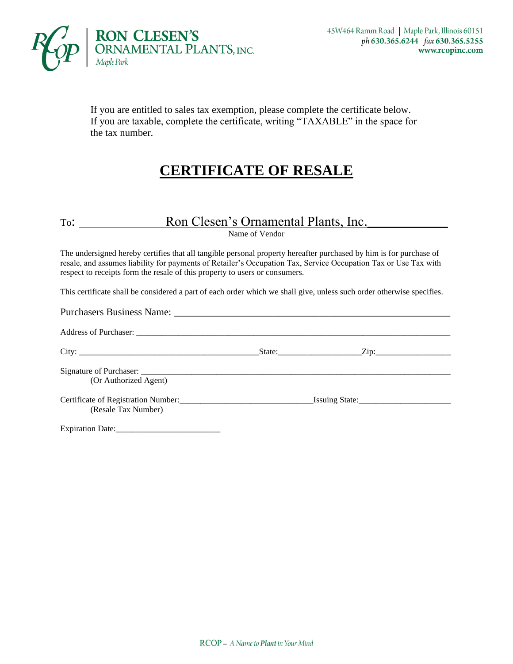

If you are entitled to sales tax exemption, please complete the certificate below. If you are taxable, complete the certificate, writing "TAXABLE" in the space for the tax number.

# **CERTIFICATE OF RESALE**

#### To: Ron Clesen's Ornamental Plants, Inc.

Name of Vendor

The undersigned hereby certifies that all tangible personal property hereafter purchased by him is for purchase of resale, and assumes liability for payments of Retailer's Occupation Tax, Service Occupation Tax or Use Tax with respect to receipts form the resale of this property to users or consumers.

This certificate shall be considered a part of each order which we shall give, unless such order otherwise specifies.

| (Or Authorized Agent)   |  |  |
|-------------------------|--|--|
| (Resale Tax Number)     |  |  |
| <b>Expiration Date:</b> |  |  |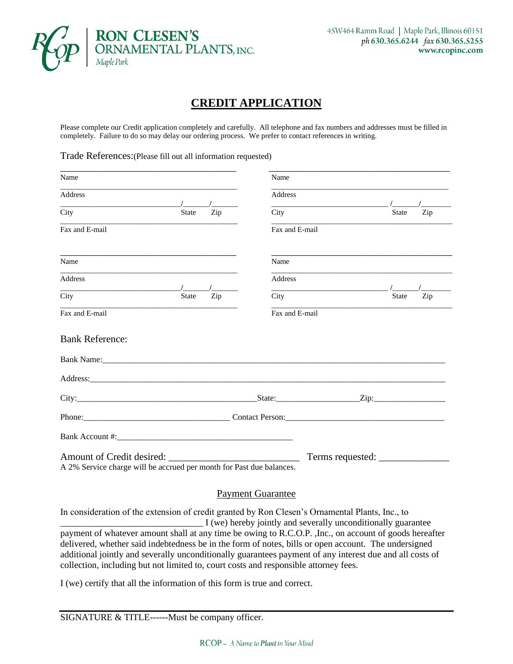

#### **CREDIT APPLICATION**

Please complete our Credit application completely and carefully. All telephone and fax numbers and addresses must be filled in completely. Failure to do so may delay our ordering process. We prefer to contact references in writing.

Trade References:(Please fill out all information requested)

| Name                                                                 |                     | Name           |              |     |
|----------------------------------------------------------------------|---------------------|----------------|--------------|-----|
| <b>Address</b>                                                       |                     | <b>Address</b> |              |     |
| City                                                                 | Zip<br><b>State</b> | City           | <b>State</b> | Zip |
| Fax and E-mail                                                       |                     | Fax and E-mail |              |     |
| Name                                                                 |                     | Name           |              |     |
| <b>Address</b>                                                       |                     | <b>Address</b> |              |     |
| City                                                                 | Zip<br><b>State</b> | City           | <b>State</b> | Zip |
| Fax and E-mail                                                       |                     | Fax and E-mail |              |     |
| <b>Bank Reference:</b>                                               |                     |                |              |     |
|                                                                      |                     |                |              |     |
|                                                                      |                     |                |              |     |
|                                                                      |                     |                |              |     |
|                                                                      |                     |                |              |     |
|                                                                      |                     |                |              |     |
| A 2% Service charge will be accrued per month for Past due balances. |                     |                |              |     |

#### Payment Guarantee

In consideration of the extension of credit granted by Ron Clesen's Ornamental Plants, Inc., to \_\_\_\_\_\_\_\_\_\_\_\_\_\_\_\_\_\_\_\_\_\_\_\_\_\_\_\_\_\_\_ I (we) hereby jointly and severally unconditionally guarantee payment of whatever amount shall at any time be owing to R.C.O.P. ,Inc., on account of goods hereafter delivered, whether said indebtedness be in the form of notes, bills or open account. The undersigned additional jointly and severally unconditionally guarantees payment of any interest due and all costs of collection, including but not limited to, court costs and responsible attorney fees.

I (we) certify that all the information of this form is true and correct.

SIGNATURE & TITLE------Must be company officer.